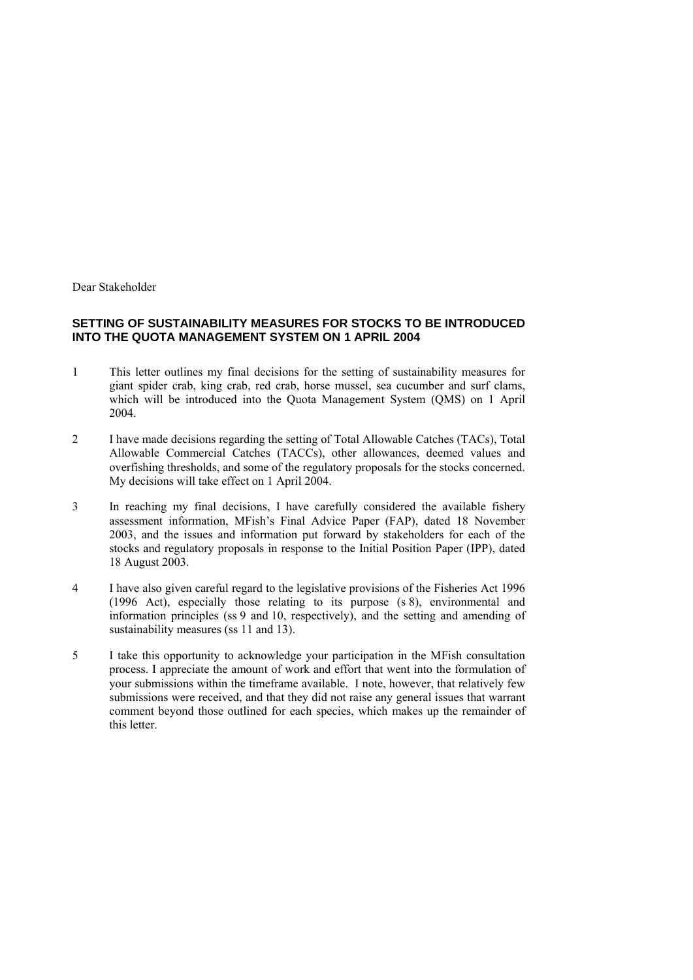Dear Stakeholder

### **SETTING OF SUSTAINABILITY MEASURES FOR STOCKS TO BE INTRODUCED INTO THE QUOTA MANAGEMENT SYSTEM ON 1 APRIL 2004**

- 1 This letter outlines my final decisions for the setting of sustainability measures for giant spider crab, king crab, red crab, horse mussel, sea cucumber and surf clams, which will be introduced into the Quota Management System (QMS) on 1 April 2004.
- 2 I have made decisions regarding the setting of Total Allowable Catches (TACs), Total Allowable Commercial Catches (TACCs), other allowances, deemed values and overfishing thresholds, and some of the regulatory proposals for the stocks concerned. My decisions will take effect on 1 April 2004.
- 3 In reaching my final decisions, I have carefully considered the available fishery assessment information, MFish's Final Advice Paper (FAP), dated 18 November 2003, and the issues and information put forward by stakeholders for each of the stocks and regulatory proposals in response to the Initial Position Paper (IPP), dated 18 August 2003.
- 4 I have also given careful regard to the legislative provisions of the Fisheries Act 1996 (1996 Act), especially those relating to its purpose (s 8), environmental and information principles (ss 9 and 10, respectively), and the setting and amending of sustainability measures (ss 11 and 13).
- 5 I take this opportunity to acknowledge your participation in the MFish consultation process. I appreciate the amount of work and effort that went into the formulation of your submissions within the timeframe available. I note, however, that relatively few submissions were received, and that they did not raise any general issues that warrant comment beyond those outlined for each species, which makes up the remainder of this letter.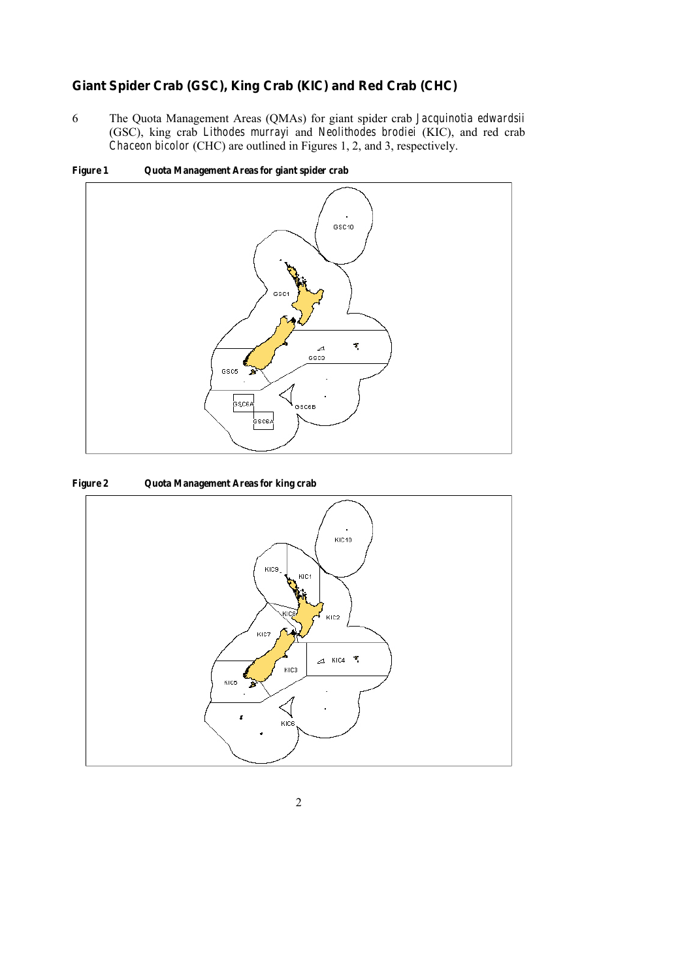## *Giant Spider Crab (GSC), King Crab (KIC) and Red Crab (CHC)*

6 The Quota Management Areas (QMAs) for giant spider crab *Jacquinotia edwardsii* (GSC), king crab *Lithodes murrayi* and *Neolithodes brodiei* (KIC), and red crab *Chaceon bicolor* (CHC) are outlined in Figures 1, 2, and 3, respectively.



Figure 1 Quota Management Areas for giant spider crab

### Figure 2 Quota Management Areas for king crab

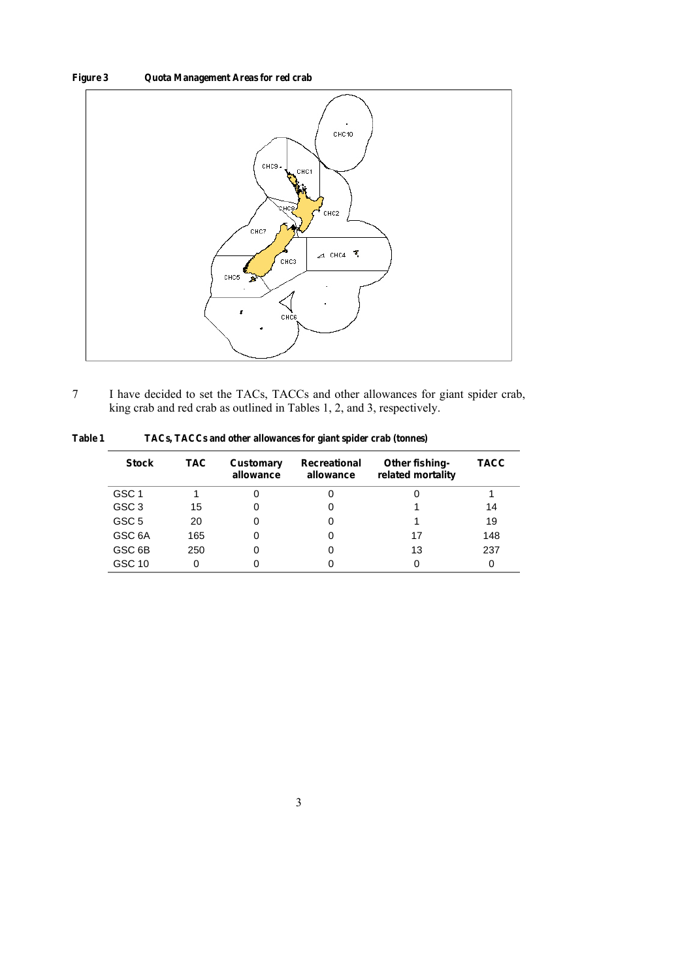## Figure 3 Quota Management Areas for red crab



7 I have decided to set the TACs, TACCs and other allowances for giant spider crab, king crab and red crab as outlined in Tables 1, 2, and 3, respectively.

Table 1 TACs, TACCs and other allowances for giant spider crab (tonnes)

| <b>Stock</b>       | TAC. | Customary<br>allowance | Recreational<br>allowance | Other fishing-<br>related mortality | TACC |
|--------------------|------|------------------------|---------------------------|-------------------------------------|------|
| GSC 1              |      |                        |                           |                                     |      |
| GSC <sub>3</sub>   | 15   |                        |                           |                                     | 14   |
| GSC <sub>5</sub>   | 20   |                        |                           |                                     | 19   |
| GSC 6A             | 165  |                        |                           | 17                                  | 148  |
| GSC <sub>6</sub> B | 250  |                        |                           | 13                                  | 237  |
| GSC 10             | 0    |                        |                           |                                     |      |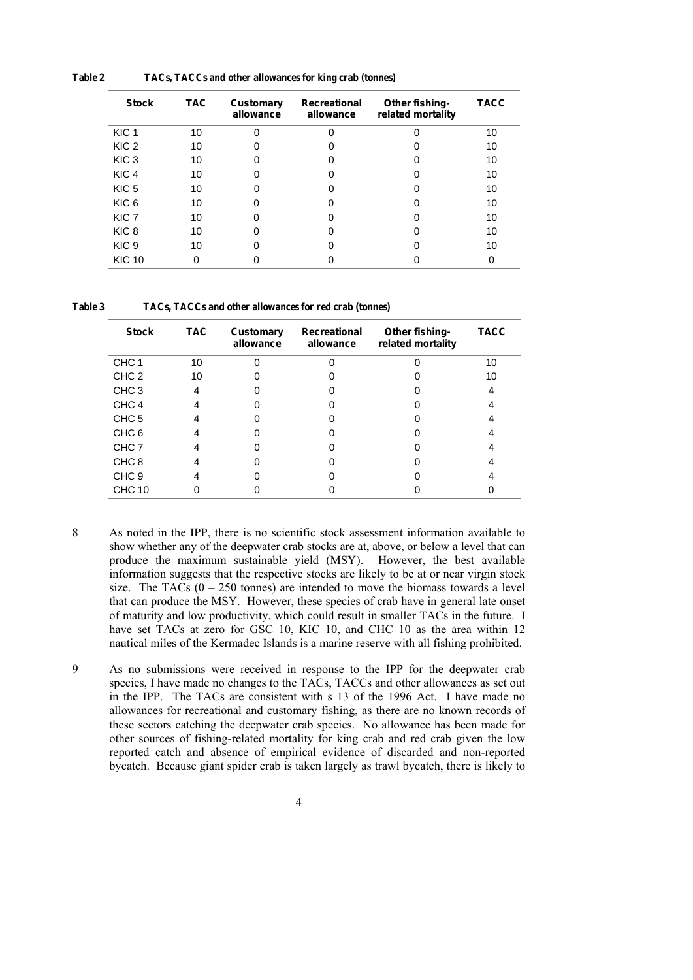| <b>Stock</b>     | <b>TAC</b> | Customary<br>allowance | Recreational<br>allowance | Other fishing-<br>related mortality | <b>TACC</b> |
|------------------|------------|------------------------|---------------------------|-------------------------------------|-------------|
| KIC <sub>1</sub> | 10         |                        | $\Omega$                  |                                     | 10          |
| KIC <sub>2</sub> | 10         |                        |                           |                                     | 10          |
| KIC <sub>3</sub> | 10         |                        |                           |                                     | 10          |
| KIC <sub>4</sub> | 10         |                        |                           |                                     | 10          |
| KIC <sub>5</sub> | 10         |                        |                           |                                     | 10          |
| KIC <sub>6</sub> | 10         |                        |                           |                                     | 10          |
| KIC <sub>7</sub> | 10         |                        |                           |                                     | 10          |
| KIC <sub>8</sub> | 10         |                        |                           |                                     | 10          |
| KIC <sub>9</sub> | 10         |                        |                           |                                     | 10          |
| <b>KIC 10</b>    |            |                        |                           |                                     |             |

Table 2 TACs, TACCs and other allowances for king crab (tonnes)

Table 3 TACs, TACCs and other allowances for red crab (tonnes)

| <b>Stock</b>     | <b>TAC</b> | Customary<br>allowance | Recreational<br>allowance | Other fishing-<br>related mortality | <b>TACC</b> |
|------------------|------------|------------------------|---------------------------|-------------------------------------|-------------|
| CHC <sub>1</sub> | 10         |                        |                           |                                     | 10          |
| CHC <sub>2</sub> | 10         |                        |                           |                                     | 10          |
| CHC <sub>3</sub> | 4          |                        |                           |                                     |             |
| CHC <sub>4</sub> |            |                        |                           |                                     |             |
| CHC <sub>5</sub> |            |                        |                           |                                     |             |
| CHC <sub>6</sub> |            |                        |                           |                                     |             |
| CHC 7            |            |                        |                           |                                     |             |
| CHC <sub>8</sub> |            |                        |                           |                                     |             |
| CHC <sub>9</sub> |            |                        |                           |                                     |             |
| <b>CHC 10</b>    |            |                        |                           |                                     |             |

- 8 As noted in the IPP, there is no scientific stock assessment information available to show whether any of the deepwater crab stocks are at, above, or below a level that can produce the maximum sustainable yield (MSY). However, the best available information suggests that the respective stocks are likely to be at or near virgin stock size. The TACs  $(0 - 250$  tonnes) are intended to move the biomass towards a level that can produce the MSY. However, these species of crab have in general late onset of maturity and low productivity, which could result in smaller TACs in the future. I have set TACs at zero for GSC 10, KIC 10, and CHC 10 as the area within 12 nautical miles of the Kermadec Islands is a marine reserve with all fishing prohibited.
- 9 As no submissions were received in response to the IPP for the deepwater crab species, I have made no changes to the TACs, TACCs and other allowances as set out in the IPP. The TACs are consistent with s 13 of the 1996 Act. I have made no allowances for recreational and customary fishing, as there are no known records of these sectors catching the deepwater crab species. No allowance has been made for other sources of fishing-related mortality for king crab and red crab given the low reported catch and absence of empirical evidence of discarded and non-reported bycatch. Because giant spider crab is taken largely as trawl bycatch, there is likely to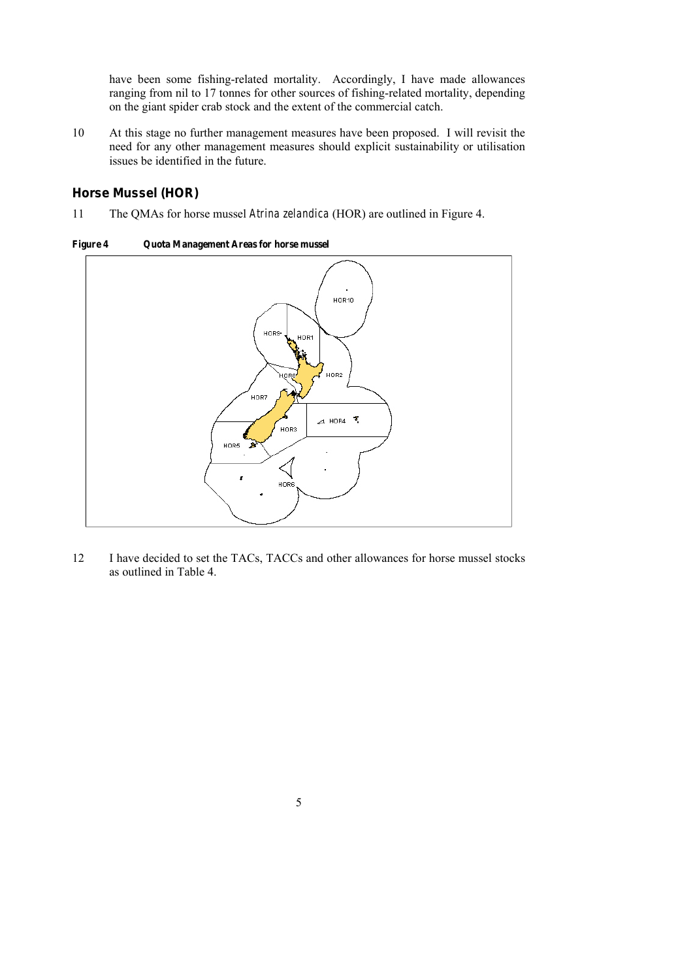have been some fishing-related mortality. Accordingly, I have made allowances ranging from nil to 17 tonnes for other sources of fishing-related mortality, depending on the giant spider crab stock and the extent of the commercial catch.

10 At this stage no further management measures have been proposed. I will revisit the need for any other management measures should explicit sustainability or utilisation issues be identified in the future.

## *Horse Mussel (HOR)*

11 The QMAs for horse mussel *Atrina zelandica* (HOR) are outlined in Figure 4.

Figure 4 Quota Management Areas for horse mussel



12 I have decided to set the TACs, TACCs and other allowances for horse mussel stocks as outlined in Table 4.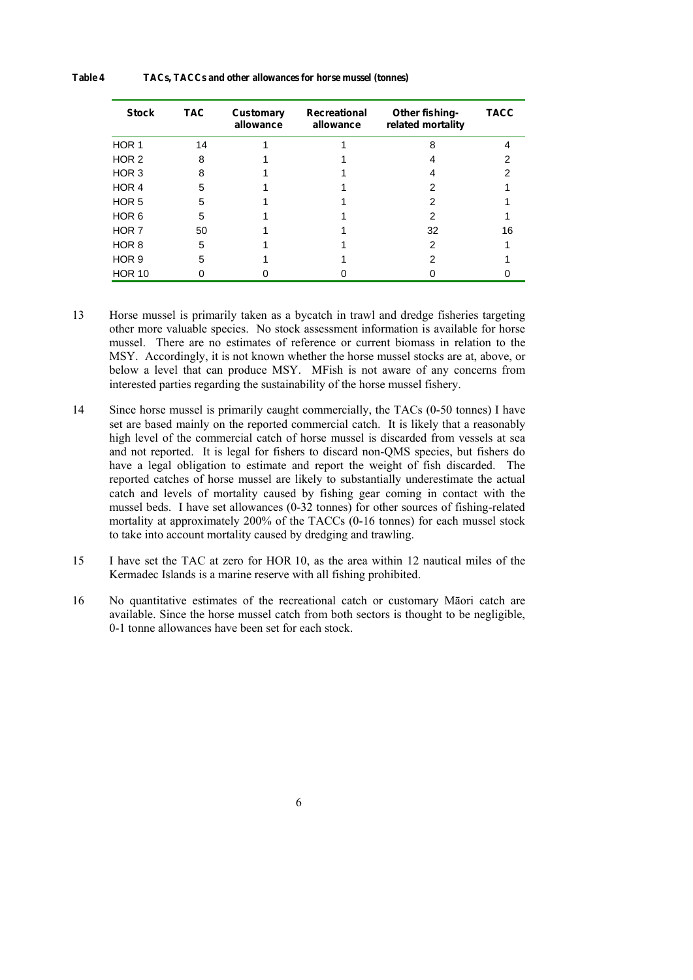#### Table 4 TACs, TACCs and other allowances for horse mussel (tonnes)

| <b>Stock</b>     | <b>TAC</b> | Customary<br>allowance | Recreational<br>allowance | Other fishing-<br>related mortality | <b>TACC</b> |
|------------------|------------|------------------------|---------------------------|-------------------------------------|-------------|
| HOR 1            | 14         |                        |                           | Զ                                   |             |
| HOR <sub>2</sub> | 8          |                        |                           |                                     |             |
| HOR <sub>3</sub> | 8          |                        |                           |                                     |             |
| HOR 4            | 5          |                        |                           |                                     |             |
| HOR <sub>5</sub> | 5          |                        |                           |                                     |             |
| HOR <sub>6</sub> | 5          |                        |                           |                                     |             |
| HOR <sub>7</sub> | 50         |                        |                           | 32                                  | 16          |
| HOR <sub>8</sub> | 5          |                        |                           | 2                                   |             |
| HOR <sub>9</sub> | 5          |                        |                           |                                     |             |
| <b>HOR 10</b>    |            |                        |                           |                                     |             |

- 13 Horse mussel is primarily taken as a bycatch in trawl and dredge fisheries targeting other more valuable species. No stock assessment information is available for horse mussel. There are no estimates of reference or current biomass in relation to the MSY. Accordingly, it is not known whether the horse mussel stocks are at, above, or below a level that can produce MSY. MFish is not aware of any concerns from interested parties regarding the sustainability of the horse mussel fishery.
- 14 Since horse mussel is primarily caught commercially, the TACs (0-50 tonnes) I have set are based mainly on the reported commercial catch. It is likely that a reasonably high level of the commercial catch of horse mussel is discarded from vessels at sea and not reported. It is legal for fishers to discard non-QMS species, but fishers do have a legal obligation to estimate and report the weight of fish discarded. The reported catches of horse mussel are likely to substantially underestimate the actual catch and levels of mortality caused by fishing gear coming in contact with the mussel beds. I have set allowances (0-32 tonnes) for other sources of fishing-related mortality at approximately 200% of the TACCs (0-16 tonnes) for each mussel stock to take into account mortality caused by dredging and trawling.
- 15 I have set the TAC at zero for HOR 10, as the area within 12 nautical miles of the Kermadec Islands is a marine reserve with all fishing prohibited.
- 16 No quantitative estimates of the recreational catch or customary Māori catch are available. Since the horse mussel catch from both sectors is thought to be negligible, 0-1 tonne allowances have been set for each stock.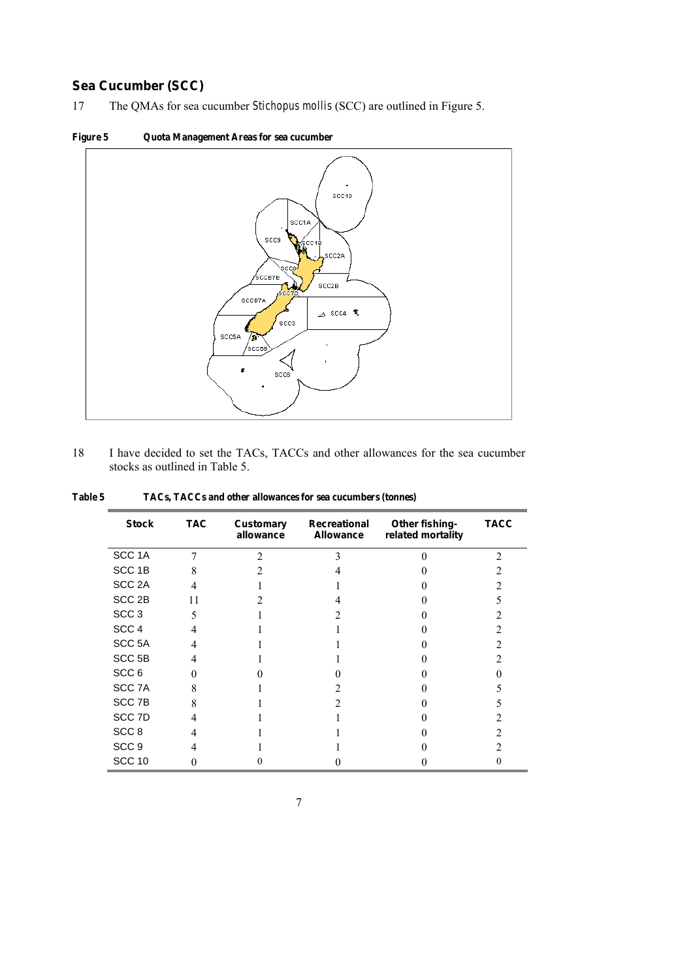# *Sea Cucumber (SCC)*

17 The QMAs for sea cucumber *Stichopus mollis* (SCC) are outlined in Figure 5.



18 I have decided to set the TACs, TACCs and other allowances for the sea cucumber stocks as outlined in Table 5.

| <b>Stock</b>      | <b>TAC</b> | Customary<br>allowance | Recreational<br>Allowance | Other fishing-<br>related mortality | <b>TACC</b>    |
|-------------------|------------|------------------------|---------------------------|-------------------------------------|----------------|
| SCC <sub>1A</sub> | 7          | $\mathfrak{D}$         | 3                         |                                     | $\mathfrak{D}$ |
| SCC <sub>1B</sub> | 8          |                        |                           |                                     |                |
| SCC <sub>2A</sub> | 4          |                        |                           |                                     |                |
| SCC <sub>2B</sub> | 11         |                        |                           |                                     |                |
| SCC <sub>3</sub>  | 5          |                        |                           |                                     |                |
| SCC <sub>4</sub>  |            |                        |                           |                                     |                |
| SCC <sub>5A</sub> | 4          |                        |                           |                                     |                |
| SCC <sub>5B</sub> | 4          |                        |                           |                                     |                |
| SCC <sub>6</sub>  |            |                        |                           |                                     |                |
| SCC 7A            | 8          |                        |                           |                                     |                |
| SCC <sub>7B</sub> | 8          |                        |                           |                                     |                |
| SCC 7D            |            |                        |                           |                                     |                |
| SCC <sub>8</sub>  |            |                        |                           |                                     |                |
| SCC <sub>9</sub>  |            |                        |                           |                                     |                |
| <b>SCC 10</b>     |            |                        |                           |                                     |                |

Table 5 TACs, TACCs and other allowances for sea cucumbers (tonnes)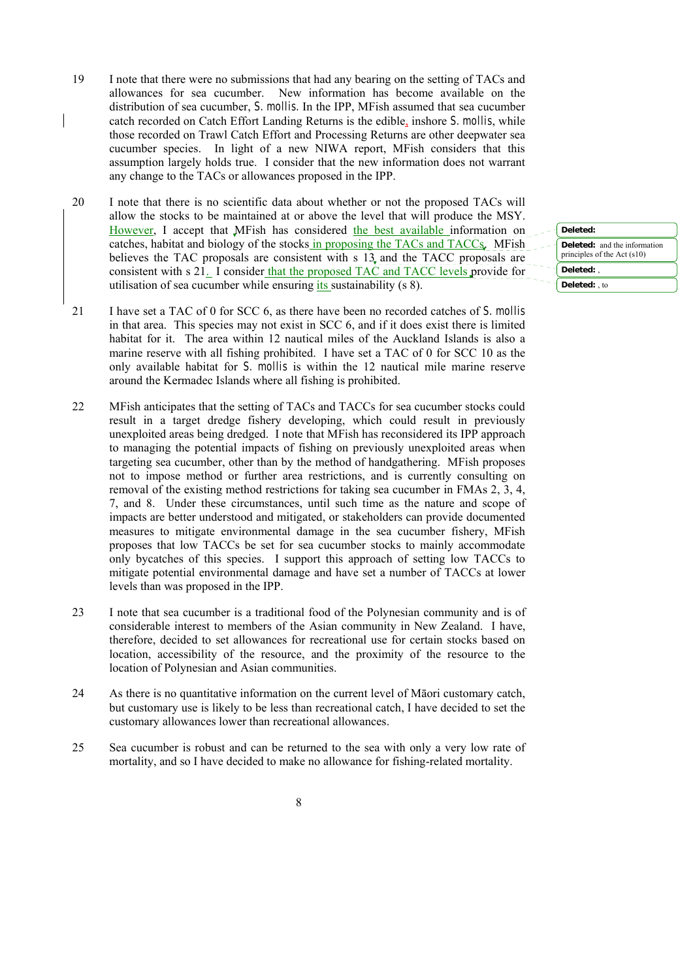- 19 I note that there were no submissions that had any bearing on the setting of TACs and allowances for sea cucumber. New information has become available on the distribution of sea cucumber, *S. mollis.* In the IPP, MFish assumed that sea cucumber catch recorded on Catch Effort Landing Returns is the edible, inshore *S. mollis*, while those recorded on Trawl Catch Effort and Processing Returns are other deepwater sea cucumber species. In light of a new NIWA report, MFish considers that this assumption largely holds true. I consider that the new information does not warrant any change to the TACs or allowances proposed in the IPP.
- 20 I note that there is no scientific data about whether or not the proposed TACs will allow the stocks to be maintained at or above the level that will produce the MSY. However, I accept that MFish has considered the best available information on catches, habitat and biology of the stocks in proposing the TACs and TACCs. MFish believes the TAC proposals are consistent with s 13 and the TACC proposals are consistent with s 21. I consider that the proposed TAC and TACC levels provide for utilisation of sea cucumber while ensuring *its* sustainability (s 8).
- 21 I have set a TAC of 0 for SCC 6, as there have been no recorded catches of *S. mollis* in that area. This species may not exist in SCC 6, and if it does exist there is limited habitat for it. The area within 12 nautical miles of the Auckland Islands is also a marine reserve with all fishing prohibited. I have set a TAC of 0 for SCC 10 as the only available habitat for *S. mollis* is within the 12 nautical mile marine reserve around the Kermadec Islands where all fishing is prohibited.
- 22 MFish anticipates that the setting of TACs and TACCs for sea cucumber stocks could result in a target dredge fishery developing, which could result in previously unexploited areas being dredged. I note that MFish has reconsidered its IPP approach to managing the potential impacts of fishing on previously unexploited areas when targeting sea cucumber, other than by the method of handgathering. MFish proposes not to impose method or further area restrictions, and is currently consulting on removal of the existing method restrictions for taking sea cucumber in FMAs 2, 3, 4, 7, and 8. Under these circumstances, until such time as the nature and scope of impacts are better understood and mitigated, or stakeholders can provide documented measures to mitigate environmental damage in the sea cucumber fishery, MFish proposes that low TACCs be set for sea cucumber stocks to mainly accommodate only bycatches of this species. I support this approach of setting low TACCs to mitigate potential environmental damage and have set a number of TACCs at lower levels than was proposed in the IPP.
- 23 I note that sea cucumber is a traditional food of the Polynesian community and is of considerable interest to members of the Asian community in New Zealand. I have, therefore, decided to set allowances for recreational use for certain stocks based on location, accessibility of the resource, and the proximity of the resource to the location of Polynesian and Asian communities.
- 24 As there is no quantitative information on the current level of Māori customary catch, but customary use is likely to be less than recreational catch, I have decided to set the customary allowances lower than recreational allowances.
- 25 Sea cucumber is robust and can be returned to the sea with only a very low rate of mortality, and so I have decided to make no allowance for fishing-related mortality.

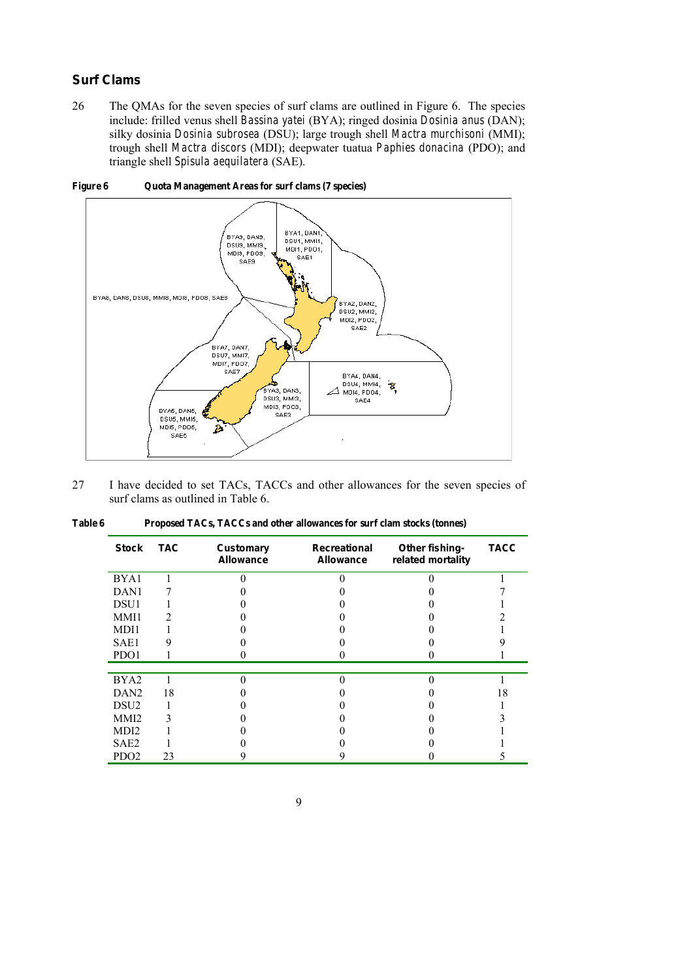## *Surf Clams*

26 The QMAs for the seven species of surf clams are outlined in Figure 6. The species include: frilled venus shell *Bassina yatei* (BYA); ringed dosinia *Dosinia anus* (DAN); silky dosinia *Dosinia subrosea* (DSU); large trough shell *Mactra murchisoni* (MMI); trough shell *Mactra discors* (MDI); deepwater tuatua *Paphies donacina* (PDO); and triangle shell *Spisula aequilatera* (SAE).



Figure 6 Quota Management Areas for surf clams (7 species)

27 I have decided to set TACs, TACCs and other allowances for the seven species of surf clams as outlined in Table 6.

| Stock            | <b>TAC</b> | Customary<br>Allowance | Recreational<br>Allowance | Other fishing-<br>related mortality | <b>TACC</b> |
|------------------|------------|------------------------|---------------------------|-------------------------------------|-------------|
| BYA1             |            |                        |                           |                                     |             |
| DAN <sub>1</sub> |            |                        |                           |                                     |             |
| DSU1             |            |                        |                           |                                     |             |
| MMI1             |            |                        |                           |                                     |             |
| MDI1             |            |                        |                           |                                     |             |
| SAE1             |            |                        |                           |                                     |             |
| PDO1             |            |                        |                           |                                     |             |
|                  |            |                        |                           |                                     |             |
| BYA2             |            |                        |                           |                                     |             |
| DAN <sub>2</sub> | 18         |                        |                           |                                     | 18          |
| DSU <sub>2</sub> |            |                        |                           |                                     |             |
| MMI <sub>2</sub> |            |                        |                           |                                     |             |
| MDI <sub>2</sub> |            |                        |                           |                                     |             |
| SAE <sub>2</sub> |            |                        |                           |                                     |             |
| PDO <sub>2</sub> | 23         |                        |                           |                                     |             |

| Table 6 | Proposed TACs, TACCs and other allowances for surf clam stocks (tonnes) |
|---------|-------------------------------------------------------------------------|
|---------|-------------------------------------------------------------------------|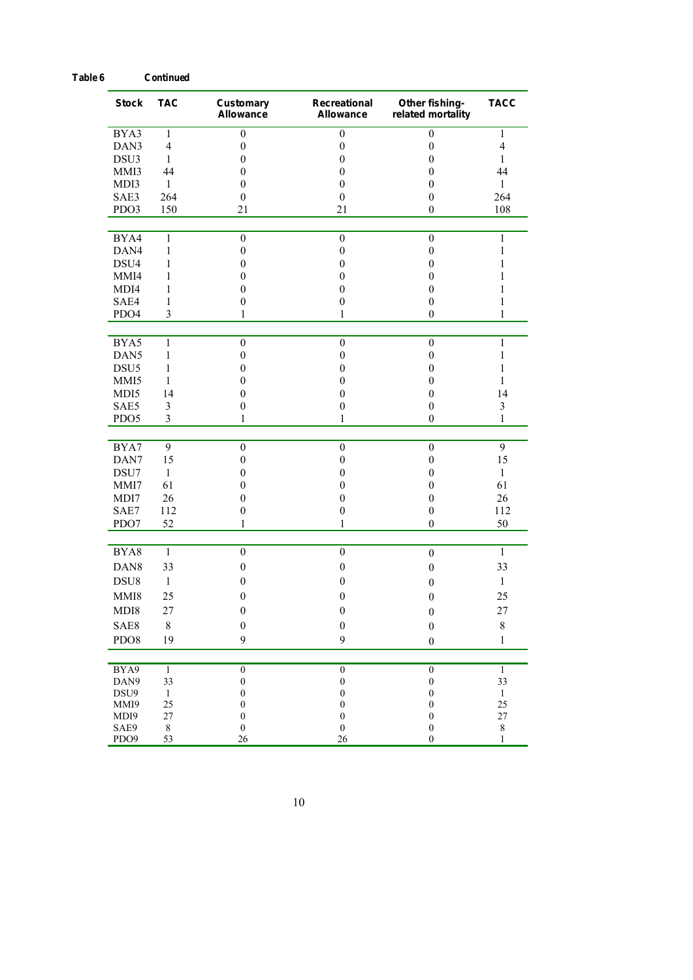| <b>Stock</b>     | <b>TAC</b>              | Customary<br>Allowance           | Recreational<br>Allowance            | Other fishing-<br>related mortality  | <b>TACC</b>             |
|------------------|-------------------------|----------------------------------|--------------------------------------|--------------------------------------|-------------------------|
| BYA3             | 1                       | $\boldsymbol{0}$                 | $\boldsymbol{0}$                     | $\boldsymbol{0}$                     | $\mathbf{1}$            |
| DAN3             | $\overline{4}$          | $\boldsymbol{0}$                 | $\boldsymbol{0}$                     | $\boldsymbol{0}$                     | $\overline{\mathbf{4}}$ |
| DSU3             | $\mathbf{1}$            | $\boldsymbol{0}$                 | $\boldsymbol{0}$                     | $\boldsymbol{0}$                     | 1                       |
| MMI3             | 44                      | $\mathbf{0}$                     | $\mathbf{0}$                         | $\mathbf{0}$                         | 44                      |
| MDI3             | 1                       | $\mathbf{0}$                     | $\mathbf{0}$                         | $\boldsymbol{0}$                     | 1                       |
| SAE3             | 264                     | $\boldsymbol{0}$                 | $\boldsymbol{0}$                     | $\boldsymbol{0}$                     | 264                     |
| PDO3             | 150                     | 21                               | 21                                   | $\boldsymbol{0}$                     | 108                     |
| BYA4             | $\mathbf{1}$            | $\boldsymbol{0}$                 | $\boldsymbol{0}$                     | $\boldsymbol{0}$                     | $\mathbf{1}$            |
| DAN4             | $\mathbf{1}$            | $\boldsymbol{0}$                 | $\boldsymbol{0}$                     | $\boldsymbol{0}$                     | $\mathbf{1}$            |
| DSU4             | 1                       | $\mathbf{0}$                     | $\mathbf{0}$                         | $\mathbf{0}$                         | 1                       |
| MMI4             | 1                       | $\mathbf{0}$                     | $\mathbf{0}$                         | $\mathbf{0}$                         | 1                       |
| MDI4             | 1                       | $\mathbf{0}$                     | $\boldsymbol{0}$                     | $\boldsymbol{0}$                     | 1                       |
| SAE4             | $\mathbf{1}$            | $\boldsymbol{0}$                 | $\boldsymbol{0}$                     | $\boldsymbol{0}$                     | $\mathbf{1}$            |
| PDO4             | $\overline{\mathbf{3}}$ | $\mathbf{1}$                     | 1                                    | $\boldsymbol{0}$                     | 1                       |
| BYA5             | $\mathbf{1}$            | $\boldsymbol{0}$                 | $\boldsymbol{0}$                     | $\boldsymbol{0}$                     | $\mathbf{1}$            |
| DAN <sub>5</sub> | 1                       | $\mathbf{0}$                     | $\boldsymbol{0}$                     | $\boldsymbol{0}$                     | 1                       |
| DSU <sub>5</sub> | $\mathbf{1}$            | $\mathbf{0}$                     | $\mathbf{0}$                         | $\mathbf{0}$                         | 1                       |
| MMI5             | 1                       | $\mathbf{0}$                     | $\mathbf{0}$                         | $\mathbf{0}$                         | 1                       |
| MDI5             | 14                      | $\mathbf{0}$                     | $\boldsymbol{0}$                     | $\boldsymbol{0}$                     | 14                      |
| SAE5             | $\mathfrak{Z}$          | $\boldsymbol{0}$                 | $\mathbf{0}$                         | $\boldsymbol{0}$                     | 3                       |
| PDO <sub>5</sub> | $\overline{3}$          | 1                                | 1                                    | $\boldsymbol{0}$                     | $\mathbf{1}$            |
| BYA7             | 9                       | $\boldsymbol{0}$                 | $\boldsymbol{0}$                     | $\boldsymbol{0}$                     | 9                       |
| DAN7             | 15                      | $\boldsymbol{0}$                 | $\boldsymbol{0}$                     | $\boldsymbol{0}$                     | 15                      |
| DSU7             | $\mathbf{1}$            | $\mathbf{0}$                     | $\mathbf{0}$                         | $\mathbf{0}$                         | $\mathbf{1}$            |
| MMI7             | 61                      | $\theta$                         | $\mathbf{0}$                         | $\mathbf{0}$                         | 61                      |
| MDI7             | 26                      | $\boldsymbol{0}$                 | $\boldsymbol{0}$                     | $\boldsymbol{0}$                     | 26                      |
| SAE7             | 112                     | $\boldsymbol{0}$                 | $\boldsymbol{0}$                     | $\boldsymbol{0}$                     | 112                     |
| PDO7             | 52                      | 1                                | 1                                    | $\boldsymbol{0}$                     | 50                      |
| BYA8             | $\mathbf{1}$            | $\boldsymbol{0}$                 | $\mathbf{0}$                         | $\boldsymbol{0}$                     | $\mathbf{1}$            |
| DAN8             | 33                      | $\boldsymbol{0}$                 | $\boldsymbol{0}$                     | $\boldsymbol{0}$                     | 33                      |
| DSU8             | 1                       | $\boldsymbol{0}$                 | $\boldsymbol{0}$                     | $\boldsymbol{0}$                     | 1                       |
| MMI8             | 25                      | $\mathbf{0}$                     | $\boldsymbol{0}$                     | $\boldsymbol{0}$                     | 25                      |
|                  |                         |                                  |                                      |                                      |                         |
| MDI8             | 27                      | $\boldsymbol{0}$                 | $\bf{0}$                             | $\boldsymbol{0}$                     | 27                      |
| SAE8             | $\,$ $\,$               | $\boldsymbol{0}$                 | $\boldsymbol{0}$                     | $\boldsymbol{0}$                     | $\,$ $\,$               |
| PDO8             | 19                      | 9                                | 9                                    | $\boldsymbol{0}$                     | $\mathbf{1}$            |
| BYA9             | $\mathbf{1}$            | $\boldsymbol{0}$                 | $\boldsymbol{0}$                     | $\boldsymbol{0}$                     | $\mathbf{1}$            |
| DAN9             | 33                      | $\boldsymbol{0}$                 | $\boldsymbol{0}$                     | $\boldsymbol{0}$                     | 33                      |
| DSU9             | $\mathbf{1}$            | $\boldsymbol{0}$                 | $\boldsymbol{0}$                     | $\boldsymbol{0}$                     | 1                       |
| MMI9<br>MDI9     | 25<br>27                | $\boldsymbol{0}$<br>$\mathbf{0}$ | $\boldsymbol{0}$<br>$\boldsymbol{0}$ | $\boldsymbol{0}$<br>$\boldsymbol{0}$ | 25<br>27                |
| SAE9             | $\,$ 8 $\,$             | $\boldsymbol{0}$                 | $\boldsymbol{0}$                     | $\boldsymbol{0}$                     | $\,$ $\,$               |
| PDO9             | 53                      | 26                               | 26                                   | $\boldsymbol{0}$                     | 1                       |

10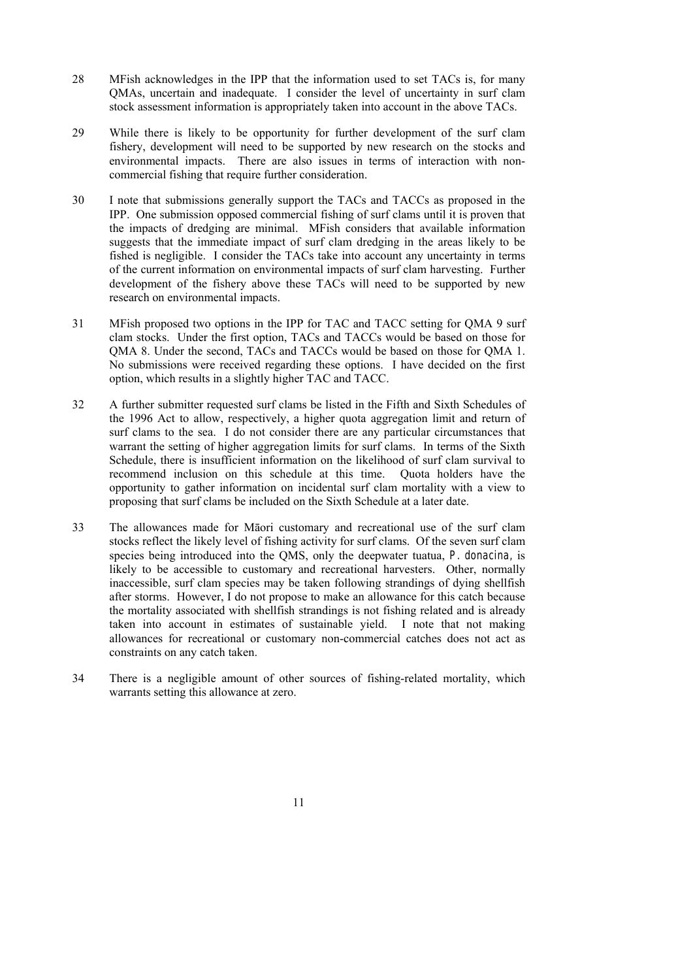- 28 MFish acknowledges in the IPP that the information used to set TACs is, for many QMAs, uncertain and inadequate. I consider the level of uncertainty in surf clam stock assessment information is appropriately taken into account in the above TACs.
- 29 While there is likely to be opportunity for further development of the surf clam fishery, development will need to be supported by new research on the stocks and environmental impacts. There are also issues in terms of interaction with noncommercial fishing that require further consideration.
- 30 I note that submissions generally support the TACs and TACCs as proposed in the IPP. One submission opposed commercial fishing of surf clams until it is proven that the impacts of dredging are minimal. MFish considers that available information suggests that the immediate impact of surf clam dredging in the areas likely to be fished is negligible. I consider the TACs take into account any uncertainty in terms of the current information on environmental impacts of surf clam harvesting. Further development of the fishery above these TACs will need to be supported by new research on environmental impacts.
- 31 MFish proposed two options in the IPP for TAC and TACC setting for QMA 9 surf clam stocks. Under the first option, TACs and TACCs would be based on those for QMA 8. Under the second, TACs and TACCs would be based on those for QMA 1. No submissions were received regarding these options. I have decided on the first option, which results in a slightly higher TAC and TACC.
- 32 A further submitter requested surf clams be listed in the Fifth and Sixth Schedules of the 1996 Act to allow, respectively, a higher quota aggregation limit and return of surf clams to the sea. I do not consider there are any particular circumstances that warrant the setting of higher aggregation limits for surf clams. In terms of the Sixth Schedule, there is insufficient information on the likelihood of surf clam survival to recommend inclusion on this schedule at this time. Quota holders have the opportunity to gather information on incidental surf clam mortality with a view to proposing that surf clams be included on the Sixth Schedule at a later date.
- 33 The allowances made for Māori customary and recreational use of the surf clam stocks reflect the likely level of fishing activity for surf clams. Of the seven surf clam species being introduced into the QMS, only the deepwater tuatua, *P. donacina,* is likely to be accessible to customary and recreational harvesters. Other, normally inaccessible, surf clam species may be taken following strandings of dying shellfish after storms. However, I do not propose to make an allowance for this catch because the mortality associated with shellfish strandings is not fishing related and is already taken into account in estimates of sustainable yield. I note that not making allowances for recreational or customary non-commercial catches does not act as constraints on any catch taken.
- 34 There is a negligible amount of other sources of fishing-related mortality, which warrants setting this allowance at zero.